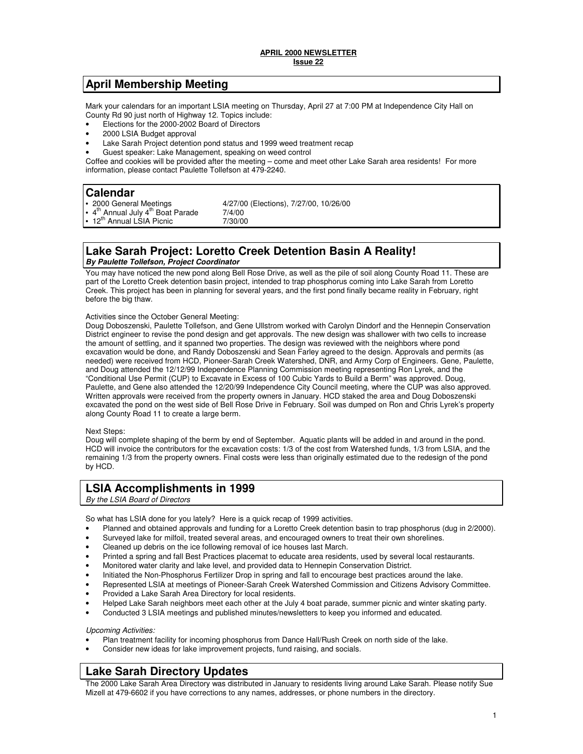# **April Membership Meeting**

Mark your calendars for an important LSIA meeting on Thursday, April 27 at 7:00 PM at Independence City Hall on County Rd 90 just north of Highway 12. Topics include:

- Elections for the 2000-2002 Board of Directors
- 2000 LSIA Budget approval
- Lake Sarah Project detention pond status and 1999 weed treatment recap
- Guest speaker: Lake Management, speaking on weed control

Coffee and cookies will be provided after the meeting – come and meet other Lake Sarah area residents! For more information, please contact Paulette Tollefson at 479-2240.

**Calendar**<br>• 2000 General Meetings 4/27/00 (Elections), 7/27/00, 10/26/00<br>7/4/00  $4^{\text{th}}$  Annual July  $4^{\text{th}}$  Boat Parade  $7/4/00$ <br>12<sup>th</sup> Annual LSIA Picnic  $7/30/00$ 12<sup>th</sup> Annual LSIA Picnic

### **Lake Sarah Project: Loretto Creek Detention Basin A Reality! By Paulette Tollefson, Project Coordinator**

You may have noticed the new pond along Bell Rose Drive, as well as the pile of soil along County Road 11. These are part of the Loretto Creek detention basin project, intended to trap phosphorus coming into Lake Sarah from Loretto Creek. This project has been in planning for several years, and the first pond finally became reality in February, right before the big thaw.

### Activities since the October General Meeting:

Doug Doboszenski, Paulette Tollefson, and Gene Ullstrom worked with Carolyn Dindorf and the Hennepin Conservation District engineer to revise the pond design and get approvals. The new design was shallower with two cells to increase the amount of settling, and it spanned two properties. The design was reviewed with the neighbors where pond excavation would be done, and Randy Doboszenski and Sean Farley agreed to the design. Approvals and permits (as needed) were received from HCD, Pioneer-Sarah Creek Watershed, DNR, and Army Corp of Engineers. Gene, Paulette, and Doug attended the 12/12/99 Independence Planning Commission meeting representing Ron Lyrek, and the "Conditional Use Permit (CUP) to Excavate in Excess of 100 Cubic Yards to Build a Berm" was approved. Doug, Paulette, and Gene also attended the 12/20/99 Independence City Council meeting, where the CUP was also approved. Written approvals were received from the property owners in January. HCD staked the area and Doug Doboszenski excavated the pond on the west side of Bell Rose Drive in February. Soil was dumped on Ron and Chris Lyrek's property along County Road 11 to create a large berm.

#### Next Steps:

Doug will complete shaping of the berm by end of September. Aquatic plants will be added in and around in the pond. HCD will invoice the contributors for the excavation costs: 1/3 of the cost from Watershed funds, 1/3 from LSIA, and the remaining 1/3 from the property owners. Final costs were less than originally estimated due to the redesign of the pond by HCD.

# **LSIA Accomplishments in 1999**

By the LSIA Board of Directors

So what has LSIA done for you lately? Here is a quick recap of 1999 activities.

- Planned and obtained approvals and funding for a Loretto Creek detention basin to trap phosphorus (dug in 2/2000).
- Surveyed lake for milfoil, treated several areas, and encouraged owners to treat their own shorelines.
- Cleaned up debris on the ice following removal of ice houses last March.
- Printed a spring and fall Best Practices placemat to educate area residents, used by several local restaurants.
- Monitored water clarity and lake level, and provided data to Hennepin Conservation District.
- Initiated the Non-Phosphorus Fertilizer Drop in spring and fall to encourage best practices around the lake.
- Represented LSIA at meetings of Pioneer-Sarah Creek Watershed Commission and Citizens Advisory Committee.
- Provided a Lake Sarah Area Directory for local residents.
- Helped Lake Sarah neighbors meet each other at the July 4 boat parade, summer picnic and winter skating party.
- Conducted 3 LSIA meetings and published minutes/newsletters to keep you informed and educated.

#### Upcoming Activities:

- Plan treatment facility for incoming phosphorus from Dance Hall/Rush Creek on north side of the lake.
- Consider new ideas for lake improvement projects, fund raising, and socials.

# **Lake Sarah Directory Updates**

The 2000 Lake Sarah Area Directory was distributed in January to residents living around Lake Sarah. Please notify Sue Mizell at 479-6602 if you have corrections to any names, addresses, or phone numbers in the directory.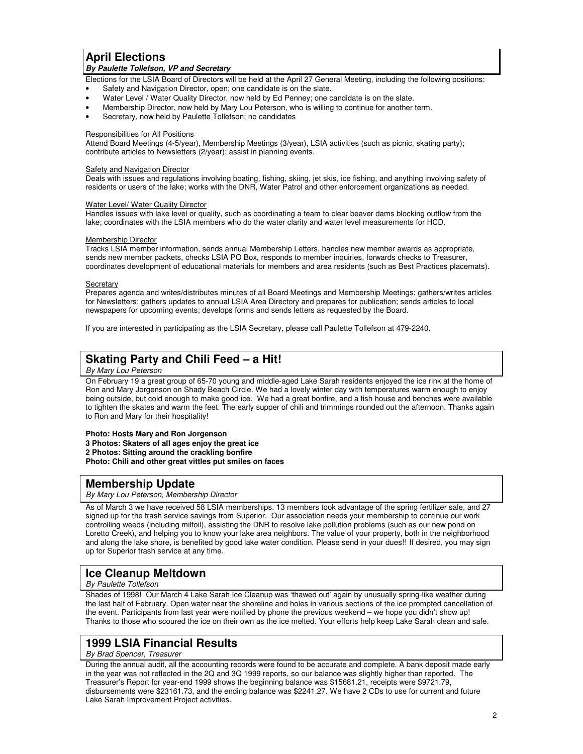### **April Elections By Paulette Tollefson, VP and Secretary**

Elections for the LSIA Board of Directors will be held at the April 27 General Meeting, including the following positions:

- Safety and Navigation Director, open; one candidate is on the slate.
- Water Level / Water Quality Director, now held by Ed Penney; one candidate is on the slate.
- Membership Director, now held by Mary Lou Peterson, who is willing to continue for another term.
- Secretary, now held by Paulette Tollefson; no candidates

### Responsibilities for All Positions

Attend Board Meetings (4-5/year), Membership Meetings (3/year), LSIA activities (such as picnic, skating party); contribute articles to Newsletters (2/year); assist in planning events.

#### Safety and Navigation Director

Deals with issues and regulations involving boating, fishing, skiing, jet skis, ice fishing, and anything involving safety of residents or users of the lake; works with the DNR, Water Patrol and other enforcement organizations as needed.

#### **Water Level/ Water Quality Director**

Handles issues with lake level or quality, such as coordinating a team to clear beaver dams blocking outflow from the lake; coordinates with the LSIA members who do the water clarity and water level measurements for HCD.

#### Membership Director

Tracks LSIA member information, sends annual Membership Letters, handles new member awards as appropriate, sends new member packets, checks LSIA PO Box, responds to member inquiries, forwards checks to Treasurer, coordinates development of educational materials for members and area residents (such as Best Practices placemats).

#### **Secretary**

Prepares agenda and writes/distributes minutes of all Board Meetings and Membership Meetings; gathers/writes articles for Newsletters; gathers updates to annual LSIA Area Directory and prepares for publication; sends articles to local newspapers for upcoming events; develops forms and sends letters as requested by the Board.

If you are interested in participating as the LSIA Secretary, please call Paulette Tollefson at 479-2240.

# **Skating Party and Chili Feed – a Hit!**

### By Mary Lou Peterson

On February 19 a great group of 65-70 young and middle-aged Lake Sarah residents enjoyed the ice rink at the home of Ron and Mary Jorgenson on Shady Beach Circle. We had a lovely winter day with temperatures warm enough to enjoy being outside, but cold enough to make good ice. We had a great bonfire, and a fish house and benches were available to tighten the skates and warm the feet. The early supper of chili and trimmings rounded out the afternoon. Thanks again to Ron and Mary for their hospitality!

### **Photo: Hosts Mary and Ron Jorgenson**

**3 Photos: Skaters of all ages enjoy the great ice 2 Photos: Sitting around the crackling bonfire Photo: Chili and other great vittles put smiles on faces**

# **Membership Update**

By Mary Lou Peterson, Membership Director

As of March 3 we have received 58 LSIA memberships. 13 members took advantage of the spring fertilizer sale, and 27 signed up for the trash service savings from Superior. Our association needs your membership to continue our work controlling weeds (including milfoil), assisting the DNR to resolve lake pollution problems (such as our new pond on Loretto Creek), and helping you to know your lake area neighbors. The value of your property, both in the neighborhood and along the lake shore, is benefited by good lake water condition. Please send in your dues!! If desired, you may sign up for Superior trash service at any time.

# **Ice Cleanup Meltdown**

By Paulette Tollefson

Shades of 1998! Our March 4 Lake Sarah Ice Cleanup was 'thawed out' again by unusually spring-like weather during the last half of February. Open water near the shoreline and holes in various sections of the ice prompted cancellation of the event. Participants from last year were notified by phone the previous weekend – we hope you didn't show up! Thanks to those who scoured the ice on their own as the ice melted. Your efforts help keep Lake Sarah clean and safe.

# **1999 LSIA Financial Results**

### By Brad Spencer, Treasurer

During the annual audit, all the accounting records were found to be accurate and complete. A bank deposit made early in the year was not reflected in the 2Q and 3Q 1999 reports, so our balance was slightly higher than reported. The Treasurer's Report for year-end 1999 shows the beginning balance was \$15681.21, receipts were \$9721.79, disbursements were \$23161.73, and the ending balance was \$2241.27. We have 2 CDs to use for current and future Lake Sarah Improvement Project activities.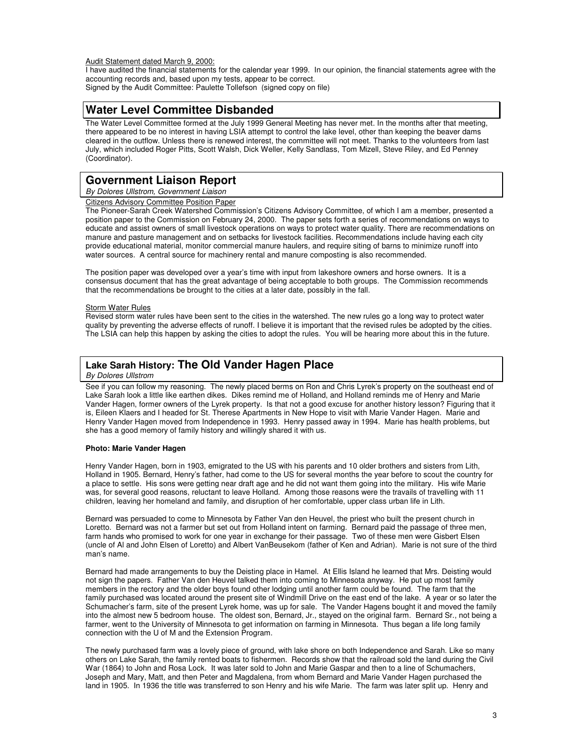#### Audit Statement dated March 9, 2000:

I have audited the financial statements for the calendar year 1999. In our opinion, the financial statements agree with the accounting records and, based upon my tests, appear to be correct. Signed by the Audit Committee: Paulette Tollefson (signed copy on file)

# **Water Level Committee Disbanded**

The Water Level Committee formed at the July 1999 General Meeting has never met. In the months after that meeting, there appeared to be no interest in having LSIA attempt to control the lake level, other than keeping the beaver dams cleared in the outflow. Unless there is renewed interest, the committee will not meet. Thanks to the volunteers from last July, which included Roger Pitts, Scott Walsh, Dick Weller, Kelly Sandlass, Tom Mizell, Steve Riley, and Ed Penney (Coordinator).

# **Government Liaison Report**

### By Dolores Ullstrom, Government Liaison

#### Citizens Advisory Committee Position Paper

The Pioneer-Sarah Creek Watershed Commission's Citizens Advisory Committee, of which I am a member, presented a position paper to the Commission on February 24, 2000. The paper sets forth a series of recommendations on ways to educate and assist owners of small livestock operations on ways to protect water quality. There are recommendations on manure and pasture management and on setbacks for livestock facilities. Recommendations include having each city provide educational material, monitor commercial manure haulers, and require siting of barns to minimize runoff into water sources. A central source for machinery rental and manure composting is also recommended.

The position paper was developed over a year's time with input from lakeshore owners and horse owners. It is a consensus document that has the great advantage of being acceptable to both groups. The Commission recommends that the recommendations be brought to the cities at a later date, possibly in the fall.

#### **Storm Water Rules**

Revised storm water rules have been sent to the cities in the watershed. The new rules go a long way to protect water quality by preventing the adverse effects of runoff. I believe it is important that the revised rules be adopted by the cities. The LSIA can help this happen by asking the cities to adopt the rules. You will be hearing more about this in the future.

## **Lake Sarah History: The Old Vander Hagen Place**

By Dolores Ullstrom

See if you can follow my reasoning. The newly placed berms on Ron and Chris Lyrek's property on the southeast end of Lake Sarah look a little like earthen dikes. Dikes remind me of Holland, and Holland reminds me of Henry and Marie Vander Hagen, former owners of the Lyrek property. Is that not a good excuse for another history lesson? Figuring that it is, Eileen Klaers and I headed for St. Therese Apartments in New Hope to visit with Marie Vander Hagen. Marie and Henry Vander Hagen moved from Independence in 1993. Henry passed away in 1994. Marie has health problems, but she has a good memory of family history and willingly shared it with us.

### **Photo: Marie Vander Hagen**

Henry Vander Hagen, born in 1903, emigrated to the US with his parents and 10 older brothers and sisters from Lith, Holland in 1905. Bernard, Henry's father, had come to the US for several months the year before to scout the country for a place to settle. His sons were getting near draft age and he did not want them going into the military. His wife Marie was, for several good reasons, reluctant to leave Holland. Among those reasons were the travails of travelling with 11 children, leaving her homeland and family, and disruption of her comfortable, upper class urban life in Lith.

Bernard was persuaded to come to Minnesota by Father Van den Heuvel, the priest who built the present church in Loretto. Bernard was not a farmer but set out from Holland intent on farming. Bernard paid the passage of three men, farm hands who promised to work for one year in exchange for their passage. Two of these men were Gisbert Elsen (uncle of Al and John Elsen of Loretto) and Albert VanBeusekom (father of Ken and Adrian). Marie is not sure of the third man's name.

Bernard had made arrangements to buy the Deisting place in Hamel. At Ellis Island he learned that Mrs. Deisting would not sign the papers. Father Van den Heuvel talked them into coming to Minnesota anyway. He put up most family members in the rectory and the older boys found other lodging until another farm could be found. The farm that the family purchased was located around the present site of Windmill Drive on the east end of the lake. A year or so later the Schumacher's farm, site of the present Lyrek home, was up for sale. The Vander Hagens bought it and moved the family into the almost new 5 bedroom house. The oldest son, Bernard, Jr., stayed on the original farm. Bernard Sr., not being a farmer, went to the University of Minnesota to get information on farming in Minnesota. Thus began a life long family connection with the U of M and the Extension Program.

The newly purchased farm was a lovely piece of ground, with lake shore on both Independence and Sarah. Like so many others on Lake Sarah, the family rented boats to fishermen. Records show that the railroad sold the land during the Civil War (1864) to John and Rosa Lock. It was later sold to John and Marie Gaspar and then to a line of Schumachers, Joseph and Mary, Matt, and then Peter and Magdalena, from whom Bernard and Marie Vander Hagen purchased the land in 1905. In 1936 the title was transferred to son Henry and his wife Marie. The farm was later split up. Henry and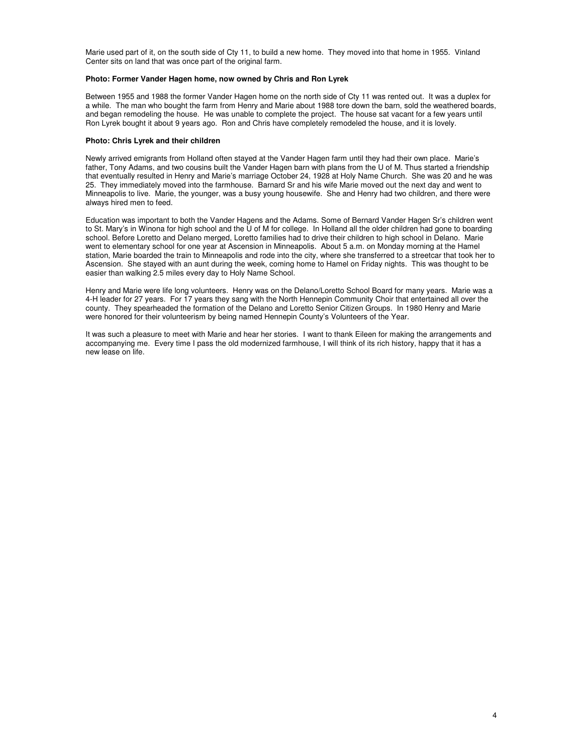Marie used part of it, on the south side of Cty 11, to build a new home. They moved into that home in 1955. Vinland Center sits on land that was once part of the original farm.

### **Photo: Former Vander Hagen home, now owned by Chris and Ron Lyrek**

Between 1955 and 1988 the former Vander Hagen home on the north side of Cty 11 was rented out. It was a duplex for a while. The man who bought the farm from Henry and Marie about 1988 tore down the barn, sold the weathered boards, and began remodeling the house. He was unable to complete the project. The house sat vacant for a few years until Ron Lyrek bought it about 9 years ago. Ron and Chris have completely remodeled the house, and it is lovely.

#### **Photo: Chris Lyrek and their children**

Newly arrived emigrants from Holland often stayed at the Vander Hagen farm until they had their own place. Marie's father, Tony Adams, and two cousins built the Vander Hagen barn with plans from the U of M. Thus started a friendship that eventually resulted in Henry and Marie's marriage October 24, 1928 at Holy Name Church. She was 20 and he was 25. They immediately moved into the farmhouse. Barnard Sr and his wife Marie moved out the next day and went to Minneapolis to live. Marie, the younger, was a busy young housewife. She and Henry had two children, and there were always hired men to feed.

Education was important to both the Vander Hagens and the Adams. Some of Bernard Vander Hagen Sr's children went to St. Mary's in Winona for high school and the U of M for college. In Holland all the older children had gone to boarding school. Before Loretto and Delano merged, Loretto families had to drive their children to high school in Delano. Marie went to elementary school for one year at Ascension in Minneapolis. About 5 a.m. on Monday morning at the Hamel station, Marie boarded the train to Minneapolis and rode into the city, where she transferred to a streetcar that took her to Ascension. She stayed with an aunt during the week, coming home to Hamel on Friday nights. This was thought to be easier than walking 2.5 miles every day to Holy Name School.

Henry and Marie were life long volunteers. Henry was on the Delano/Loretto School Board for many years. Marie was a 4-H leader for 27 years. For 17 years they sang with the North Hennepin Community Choir that entertained all over the county. They spearheaded the formation of the Delano and Loretto Senior Citizen Groups. In 1980 Henry and Marie were honored for their volunteerism by being named Hennepin County's Volunteers of the Year.

It was such a pleasure to meet with Marie and hear her stories. I want to thank Eileen for making the arrangements and accompanying me. Every time I pass the old modernized farmhouse, I will think of its rich history, happy that it has a new lease on life.